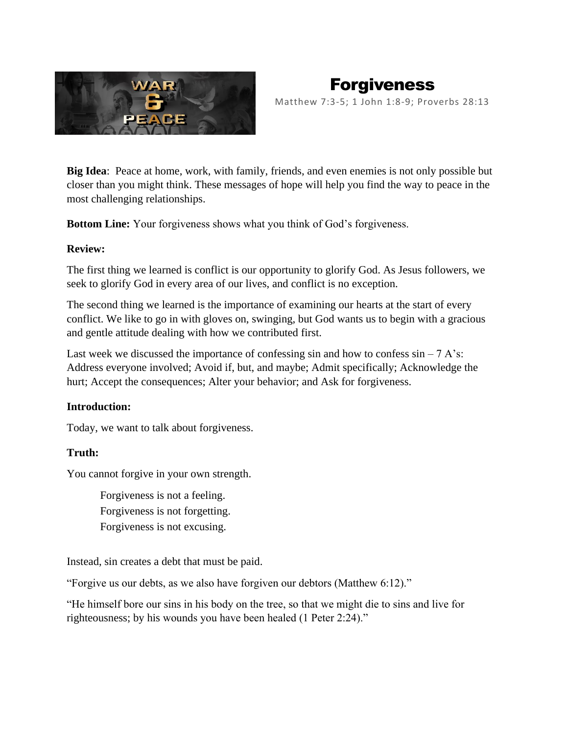

# Forgiveness Matthew 7:3-5; 1 John 1:8-9; Proverbs 28:13

**Big Idea**: Peace at home, work, with family, friends, and even enemies is not only possible but closer than you might think. These messages of hope will help you find the way to peace in the most challenging relationships.

**Bottom Line:** Your forgiveness shows what you think of God's forgiveness.

## **Review:**

The first thing we learned is conflict is our opportunity to glorify God. As Jesus followers, we seek to glorify God in every area of our lives, and conflict is no exception.

The second thing we learned is the importance of examining our hearts at the start of every conflict. We like to go in with gloves on, swinging, but God wants us to begin with a gracious and gentle attitude dealing with how we contributed first.

Last week we discussed the importance of confessing sin and how to confess  $sin - 7$  A's: Address everyone involved; Avoid if, but, and maybe; Admit specifically; Acknowledge the hurt; Accept the consequences; Alter your behavior; and Ask for forgiveness.

# **Introduction:**

Today, we want to talk about forgiveness.

# **Truth:**

You cannot forgive in your own strength.

Forgiveness is not a feeling. Forgiveness is not forgetting. Forgiveness is not excusing.

Instead, sin creates a debt that must be paid.

"Forgive us our debts, as we also have forgiven our debtors (Matthew 6:12)."

"He himself bore our sins in his body on the tree, so that we might die to sins and live for righteousness; by his wounds you have been healed (1 Peter 2:24)."